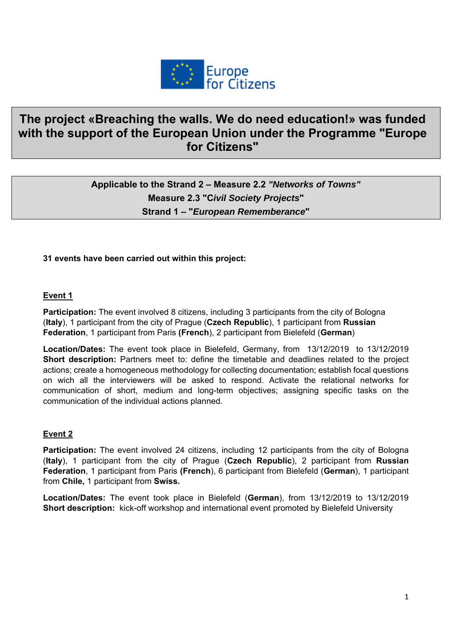

# **The project «Breaching the walls. We do need education!» was funded with the support of the European Union under the Programme "Europe for Citizens"**

## **Applicable to the Strand 2 – Measure 2.2** *"Networks of Towns"*  **Measure 2.3 "C***ivil Society Projects***" Strand 1 – "***European Rememberance***"**

#### **31 events have been carried out within this project:**

#### **Event 1**

**Participation:** The event involved 8 citizens, including 3 participants from the city of Bologna (**Italy**), 1 participant from the city of Prague (**Czech Republic**), 1 participant from **Russian Federation**, 1 participant from Paris **(French**), 2 participant from Bielefeld (**German**)

**Location/Dates:** The event took place in Bielefeld, Germany, from 13/12/2019 to 13/12/2019 **Short description:** Partners meet to: define the timetable and deadlines related to the project actions; create a homogeneous methodology for collecting documentation; establish focal questions on wich all the interviewers will be asked to respond. Activate the relational networks for communication of short, medium and long-term objectives; assigning specific tasks on the communication of the individual actions planned.

#### **Event 2**

**Participation:** The event involved 24 citizens, including 12 participants from the city of Bologna (**Italy**), 1 participant from the city of Prague (**Czech Republic**), 2 participant from **Russian Federation**, 1 participant from Paris **(French**), 6 participant from Bielefeld (**German**), 1 participant from **Chile,** 1 participant from **Swiss.**

**Location/Dates:** The event took place in Bielefeld (**German**), from 13/12/2019 to 13/12/2019 **Short description:** kick-off workshop and international event promoted by Bielefeld University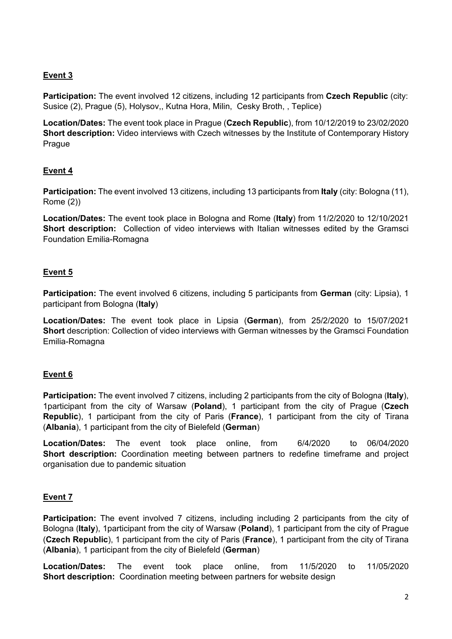**Participation:** The event involved 12 citizens, including 12 participants from **Czech Republic** (city: Susice (2), Prague (5), Holysov,, Kutna Hora, Milin, Cesky Broth, , Teplice)

**Location/Dates:** The event took place in Prague (**Czech Republic**), from 10/12/2019 to 23/02/2020 **Short description:** Video interviews with Czech witnesses by the Institute of Contemporary History Prague

## **Event 4**

**Participation:** The event involved 13 citizens, including 13 participants from **Italy** (city: Bologna (11), Rome (2))

**Location/Dates:** The event took place in Bologna and Rome (**Italy**) from 11/2/2020 to 12/10/2021 **Short description:** Collection of video interviews with Italian witnesses edited by the Gramsci Foundation Emilia-Romagna

## **Event 5**

**Participation:** The event involved 6 citizens, including 5 participants from **German** (city: Lipsia), 1 participant from Bologna (**Italy**)

**Location/Dates:** The event took place in Lipsia (**German**), from 25/2/2020 to 15/07/2021 **Short** description: Collection of video interviews with German witnesses by the Gramsci Foundation Emilia-Romagna

## **Event 6**

**Participation:** The event involved 7 citizens, including 2 participants from the city of Bologna (**Italy**), 1participant from the city of Warsaw (**Poland**), 1 participant from the city of Prague (**Czech Republic**), 1 participant from the city of Paris (**France**), 1 participant from the city of Tirana (**Albania**), 1 participant from the city of Bielefeld (**German**)

**Location/Dates:** The event took place online, from 6/4/2020 to 06/04/2020 **Short description:** Coordination meeting between partners to redefine timeframe and project organisation due to pandemic situation

## **Event 7**

**Participation:** The event involved 7 citizens, including including 2 participants from the city of Bologna (**Italy**), 1participant from the city of Warsaw (**Poland**), 1 participant from the city of Prague (**Czech Republic**), 1 participant from the city of Paris (**France**), 1 participant from the city of Tirana (**Albania**), 1 participant from the city of Bielefeld (**German**)

**Location/Dates:** The event took place online, from 11/5/2020 to 11/05/2020 **Short description:** Coordination meeting between partners for website design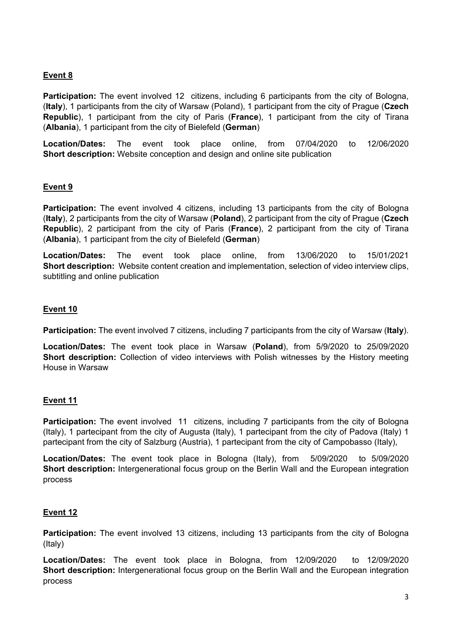**Participation:** The event involved 12 citizens, including 6 participants from the city of Bologna, (**Italy**), 1 participants from the city of Warsaw (Poland), 1 participant from the city of Prague (**Czech Republic**), 1 participant from the city of Paris (**France**), 1 participant from the city of Tirana (**Albania**), 1 participant from the city of Bielefeld (**German**)

**Location/Dates:** The event took place online, from 07/04/2020 to 12/06/2020 **Short description:** Website conception and design and online site publication

#### **Event 9**

**Participation:** The event involved 4 citizens, including 13 participants from the city of Bologna (**Italy**), 2 participants from the city of Warsaw (**Poland**), 2 participant from the city of Prague (**Czech Republic**), 2 participant from the city of Paris (**France**), 2 participant from the city of Tirana (**Albania**), 1 participant from the city of Bielefeld (**German**)

**Location/Dates:** The event took place online, from 13/06/2020 to 15/01/2021 **Short description:** Website content creation and implementation, selection of video interview clips, subtitling and online publication

#### **Event 10**

**Participation:** The event involved 7 citizens, including 7 participants from the city of Warsaw (**Italy**).

**Location/Dates:** The event took place in Warsaw (**Poland**), from 5/9/2020 to 25/09/2020 **Short description:** Collection of video interviews with Polish witnesses by the History meeting House in Warsaw

#### **Event 11**

**Participation:** The event involved 11 citizens, including 7 participants from the city of Bologna (Italy), 1 partecipant from the city of Augusta (Italy), 1 partecipant from the city of Padova (Italy) 1 partecipant from the city of Salzburg (Austria), 1 partecipant from the city of Campobasso (Italy),

**Location/Dates:** The event took place in Bologna (Italy), from 5/09/2020 to 5/09/2020 **Short description:** Intergenerational focus group on the Berlin Wall and the European integration process

#### **Event 12**

**Participation:** The event involved 13 citizens, including 13 participants from the city of Bologna (Italy)

**Location/Dates:** The event took place in Bologna, from 12/09/2020 to 12/09/2020 **Short description:** Intergenerational focus group on the Berlin Wall and the European integration process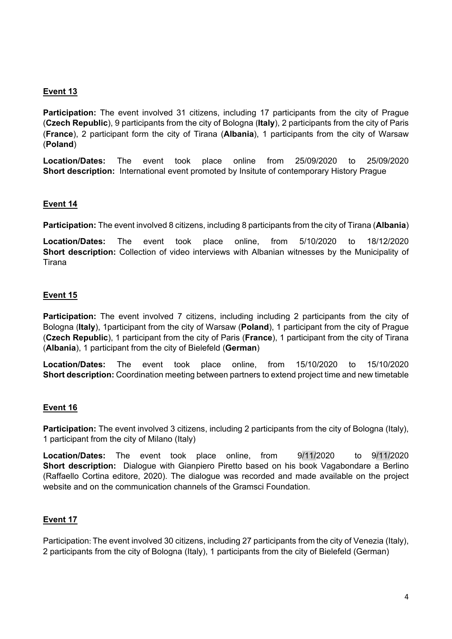**Participation:** The event involved 31 citizens, including 17 participants from the city of Prague (**Czech Republic**), 9 participants from the city of Bologna (**Italy**), 2 participants from the city of Paris (**France**), 2 participant form the city of Tirana (**Albania**), 1 participants from the city of Warsaw (**Poland**)

**Location/Dates:** The event took place online from 25/09/2020 to 25/09/2020 **Short description:** International event promoted by Insitute of contemporary History Prague

## **Event 14**

**Participation:** The event involved 8 citizens, including 8 participants from the city of Tirana (**Albania**)

**Location/Dates:** The event took place online, from 5/10/2020 to 18/12/2020 **Short description:** Collection of video interviews with Albanian witnesses by the Municipality of Tirana

#### **Event 15**

**Participation:** The event involved 7 citizens, including including 2 participants from the city of Bologna (**Italy**), 1participant from the city of Warsaw (**Poland**), 1 participant from the city of Prague (**Czech Republic**), 1 participant from the city of Paris (**France**), 1 participant from the city of Tirana (**Albania**), 1 participant from the city of Bielefeld (**German**)

**Location/Dates:** The event took place online, from 15/10/2020 to 15/10/2020 **Short description:** Coordination meeting between partners to extend project time and new timetable

## **Event 16**

**Participation:** The event involved 3 citizens, including 2 participants from the city of Bologna (Italy), 1 participant from the city of Milano (Italy)

**Location/Dates:** The event took place online, from 9/11/2020 to 9/11/2020 **Short description:** Dialogue with Gianpiero Piretto based on his book Vagabondare a Berlino (Raffaello Cortina editore, 2020). The dialogue was recorded and made available on the project website and on the communication channels of the Gramsci Foundation.

## **Event 17**

Participation: The event involved 30 citizens, including 27 participants from the city of Venezia (Italy), 2 participants from the city of Bologna (Italy), 1 participants from the city of Bielefeld (German)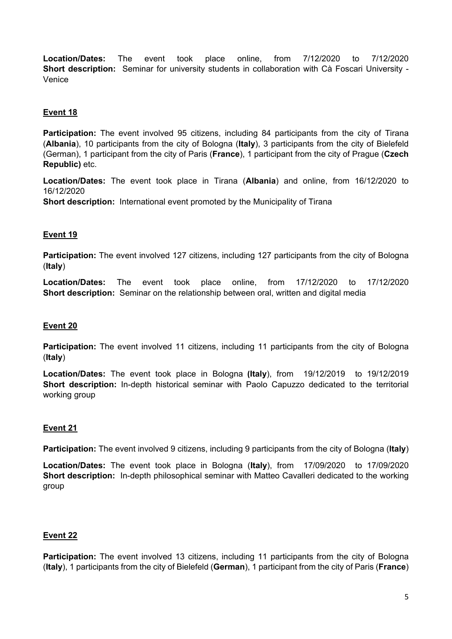**Location/Dates:** The event took place online, from 7/12/2020 to 7/12/2020 **Short description:** Seminar for university students in collaboration with Cà Foscari University - Venice

## **Event 18**

**Participation:** The event involved 95 citizens, including 84 participants from the city of Tirana (**Albania**), 10 participants from the city of Bologna (**Italy**), 3 participants from the city of Bielefeld (German), 1 participant from the city of Paris (**France**), 1 participant from the city of Prague (**Czech Republic)** etc.

**Location/Dates:** The event took place in Tirana (**Albania**) and online, from 16/12/2020 to 16/12/2020

**Short description:** International event promoted by the Municipality of Tirana

#### **Event 19**

**Participation:** The event involved 127 citizens, including 127 participants from the city of Bologna (**Italy**)

**Location/Dates:** The event took place online, from 17/12/2020 to 17/12/2020 **Short description:** Seminar on the relationship between oral, written and digital media

## **Event 20**

**Participation:** The event involved 11 citizens, including 11 participants from the city of Bologna (**Italy**)

**Location/Dates:** The event took place in Bologna **(Italy**), from 19/12/2019 to 19/12/2019 **Short description:** In-depth historical seminar with Paolo Capuzzo dedicated to the territorial working group

## **Event 21**

**Participation:** The event involved 9 citizens, including 9 participants from the city of Bologna (**Italy**)

**Location/Dates:** The event took place in Bologna (**Italy**), from 17/09/2020 to 17/09/2020 **Short description:** In-depth philosophical seminar with Matteo Cavalleri dedicated to the working group

## **Event 22**

Participation: The event involved 13 citizens, including 11 participants from the city of Bologna (**Italy**), 1 participants from the city of Bielefeld (**German**), 1 participant from the city of Paris (**France**)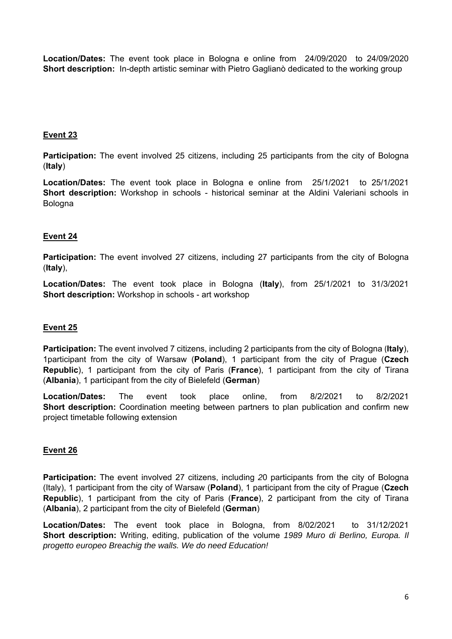**Location/Dates:** The event took place in Bologna e online from 24/09/2020 to 24/09/2020 **Short description:** In-depth artistic seminar with Pietro Gaglianò dedicated to the working group

## **Event 23**

**Participation:** The event involved 25 citizens, including 25 participants from the city of Bologna (**Italy**)

**Location/Dates:** The event took place in Bologna e online from 25/1/2021 to 25/1/2021 **Short description:** Workshop in schools - historical seminar at the Aldini Valeriani schools in Bologna

#### **Event 24**

**Participation:** The event involved 27 citizens, including 27 participants from the city of Bologna (**Italy**),

**Location/Dates:** The event took place in Bologna (**Italy**), from 25/1/2021 to 31/3/2021 **Short description:** Workshop in schools - art workshop

#### **Event 25**

**Participation:** The event involved 7 citizens, including 2 participants from the city of Bologna (**Italy**), 1participant from the city of Warsaw (**Poland**), 1 participant from the city of Prague (**Czech Republic**), 1 participant from the city of Paris (**France**), 1 participant from the city of Tirana (**Albania**), 1 participant from the city of Bielefeld (**German**)

**Location/Dates:** The event took place online, from 8/2/2021 to 8/2/2021 **Short description:** Coordination meeting between partners to plan publication and confirm new project timetable following extension

#### **Event 26**

**Participation:** The event involved 27 citizens, including *2*0 participants from the city of Bologna (Italy), 1 participant from the city of Warsaw (**Poland**), 1 participant from the city of Prague (**Czech Republic**), 1 participant from the city of Paris (**France**), 2 participant from the city of Tirana (**Albania**), 2 participant from the city of Bielefeld (**German**)

**Location/Dates:** The event took place in Bologna, from 8/02/2021 to 31/12/2021 **Short description:** Writing, editing, publication of the volume *1989 Muro di Berlino, Europa. Il progetto europeo Breachig the walls. We do need Education!*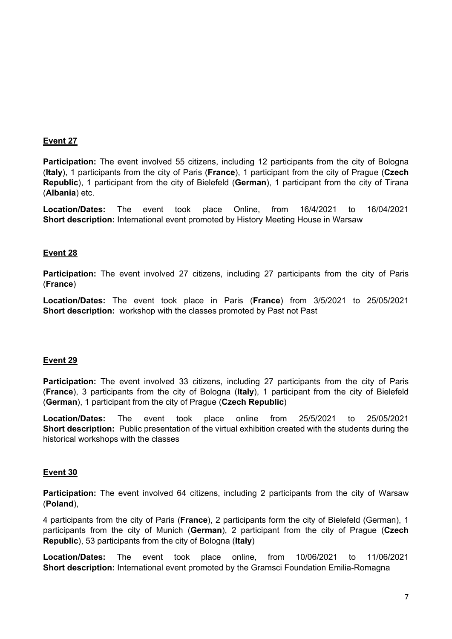**Participation:** The event involved 55 citizens, including 12 participants from the city of Bologna (**Italy**), 1 participants from the city of Paris (**France**), 1 participant from the city of Prague (**Czech Republic**), 1 participant from the city of Bielefeld (**German**), 1 participant from the city of Tirana (**Albania**) etc.

**Location/Dates:** The event took place Online, from 16/4/2021 to 16/04/2021 **Short description:** International event promoted by History Meeting House in Warsaw

#### **Event 28**

**Participation:** The event involved 27 citizens, including 27 participants from the city of Paris (**France**)

**Location/Dates:** The event took place in Paris (**France**) from 3/5/2021 to 25/05/2021 **Short description:** workshop with the classes promoted by Past not Past

#### **Event 29**

**Participation:** The event involved 33 citizens, including 27 participants from the city of Paris (**France**), 3 participants from the city of Bologna (**Italy**), 1 participant from the city of Bielefeld (**German**), 1 participant from the city of Prague (**Czech Republic**)

**Location/Dates:** The event took place online from 25/5/2021 to 25/05/2021 **Short description:** Public presentation of the virtual exhibition created with the students during the historical workshops with the classes

#### **Event 30**

**Participation:** The event involved 64 citizens, including 2 participants from the city of Warsaw (**Poland**),

4 participants from the city of Paris (**France**), 2 participants form the city of Bielefeld (German), 1 participants from the city of Munich (**German**), 2 participant from the city of Prague (**Czech Republic**), 53 participants from the city of Bologna (**Italy**)

**Location/Dates:** The event took place online, from 10/06/2021 to 11/06/2021 **Short description:** International event promoted by the Gramsci Foundation Emilia-Romagna